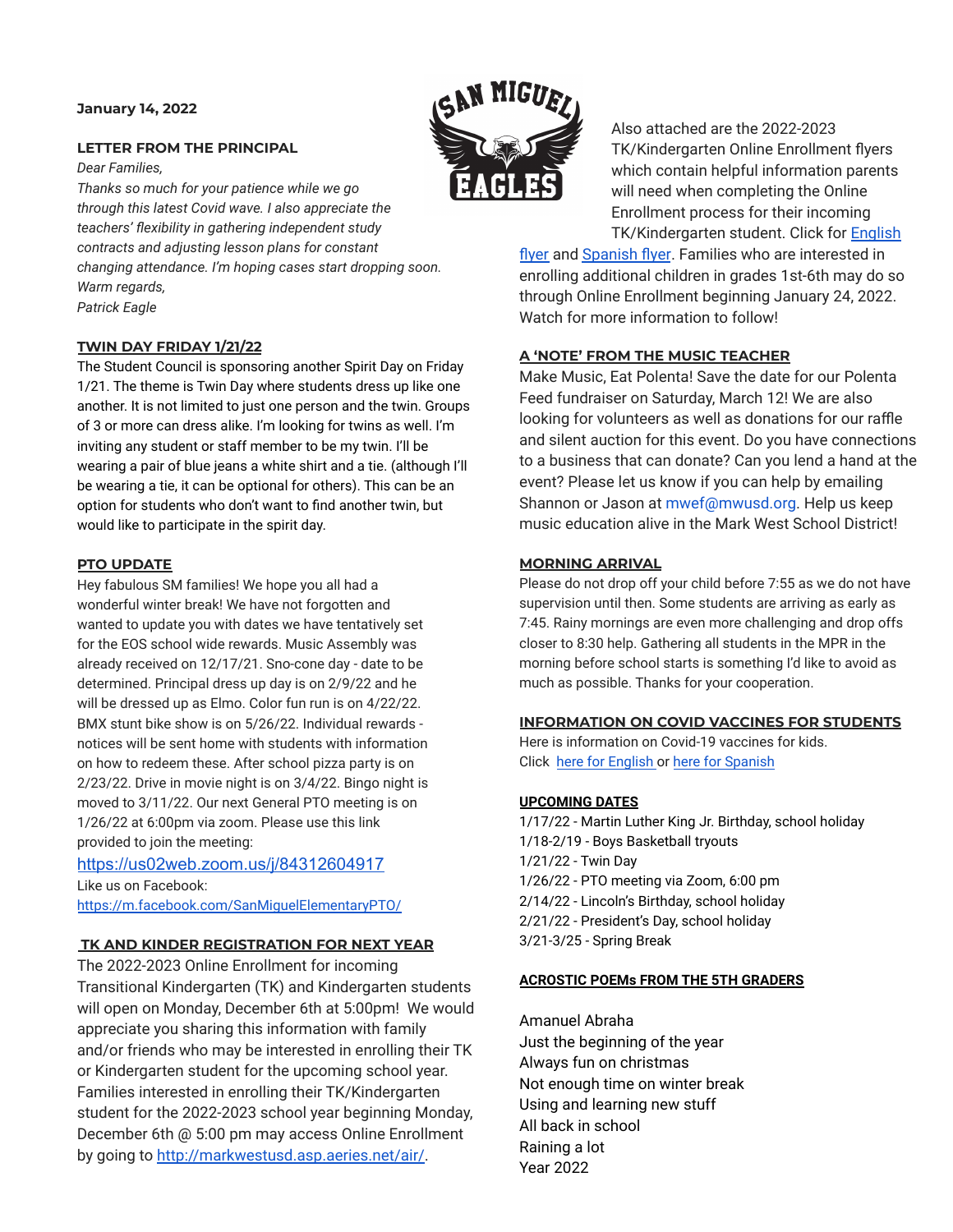#### **January 14, 2022**

### **LETTER FROM THE PRINCIPAL**

*Dear Families,*

*Thanks so much for your patience while we go through this latest Covid wave. I also appreciate the teachers' flexibility in gathering independent study contracts and adjusting lesson plans for constant changing attendance. I'm hoping cases start dropping soon. Warm regards, Patrick Eagle*

### **TWIN DAY FRIDAY 1/21/22**

The Student Council is sponsoring another Spirit Day on Friday 1/21. The theme is Twin Day where students dress up like one another. It is not limited to just one person and the twin. Groups of 3 or more can dress alike. I'm looking for twins as well. I'm inviting any student or staff member to be my twin. I'll be wearing a pair of blue jeans a white shirt and a tie. (although I'll be wearing a tie, it can be optional for others). This can be an option for students who don't want to find another twin, but would like to participate in the spirit day.

### **PTO UPDATE**

Hey fabulous SM families! We hope you all had a wonderful winter break! We have not forgotten and wanted to update you with dates we have tentatively set for the EOS school wide rewards. Music Assembly was already received on 12/17/21. Sno-cone day - date to be determined. Principal dress up day is on 2/9/22 and he will be dressed up as Elmo. Color fun run is on 4/22/22. BMX stunt bike show is on 5/26/22. Individual rewards notices will be sent home with students with information on how to redeem these. After school pizza party is on 2/23/22. Drive in movie night is on 3/4/22. Bingo night is moved to 3/11/22. Our next General PTO meeting is on 1/26/22 at 6:00pm via zoom. Please use this link provided to join the meeting:

<https://us02web.zoom.us/j/84312604917> Like us on Facebook: <https://m.facebook.com/SanMiguelElementaryPTO/>

### **TK AND KINDER REGISTRATION FOR NEXT YEAR**

The 2022-2023 Online Enrollment for incoming Transitional Kindergarten (TK) and Kindergarten students will open on Monday, December 6th at 5:00pm! We would appreciate you sharing this information with family and/or friends who may be interested in enrolling their TK or Kindergarten student for the upcoming school year. Families interested in enrolling their TK/Kindergarten student for the 2022-2023 school year beginning Monday, December 6th @ 5:00 pm may access Online Enrollment by going to [http://markwestusd.asp.aeries.net/air/.](http://markwestusd.asp.aeries.net/air/)



Also attached are the 2022-2023 TK/Kindergarten Online Enrollment flyers which contain helpful information parents will need when completing the Online Enrollment process for their incoming TK/Kindergarten student. Click for [English](https://drive.google.com/file/d/1T--eykiGrfEIJClRoq1aSevnAxgVpSDM/view?usp=sharing)

[flyer](https://drive.google.com/file/d/1T--eykiGrfEIJClRoq1aSevnAxgVpSDM/view?usp=sharing) and [Spanish](https://drive.google.com/file/d/1TBek39gh4CZzcWkgbIrO1h88MAO4Fxi_/view?usp=sharing) flyer. Families who are interested in enrolling additional children in grades 1st-6th may do so through Online Enrollment beginning January 24, 2022. Watch for more information to follow!

# **A 'NOTE' FROM THE MUSIC TEACHER**

Make Music, Eat Polenta! Save the date for our Polenta Feed fundraiser on Saturday, March 12! We are also looking for volunteers as well as donations for our raffle and silent auction for this event. Do you have connections to a business that can donate? Can you lend a hand at the event? Please let us know if you can help by emailing Shannon or Jason at mwef@mwusd.org. Help us keep music education alive in the Mark West School District!

### **MORNING ARRIVAL**

Please do not drop off your child before 7:55 as we do not have supervision until then. Some students are arriving as early as 7:45. Rainy mornings are even more challenging and drop offs closer to 8:30 help. Gathering all students in the MPR in the morning before school starts is something I'd like to avoid as much as possible. Thanks for your cooperation.

# **INFORMATION ON COVID VACCINES FOR STUDENTS**

Here is information on Covid-19 vaccines for kids. Click [here for English](https://drive.google.com/file/d/1mNZiklQ3Ypa6vLRn9sdVd32ApoH6rFpP/view?usp=sharing) or [here for Spanish](https://drive.google.com/file/d/1-Ymle4rgQefLfSqj6jxj99g91HHHVDBD/view?usp=sharing)

### **UPCOMING DATES**

1/17/22 - Martin Luther King Jr. Birthday, school holiday 1/18-2/19 - Boys Basketball tryouts 1/21/22 - Twin Day 1/26/22 - PTO meeting via Zoom, 6:00 pm 2/14/22 - Lincoln's Birthday, school holiday 2/21/22 - President's Day, school holiday 3/21-3/25 - Spring Break

### **ACROSTIC POEMs FROM THE 5TH GRADERS**

Amanuel Abraha Just the beginning of the year Always fun on christmas Not enough time on winter break Using and learning new stuff All back in school Raining a lot Year 2022